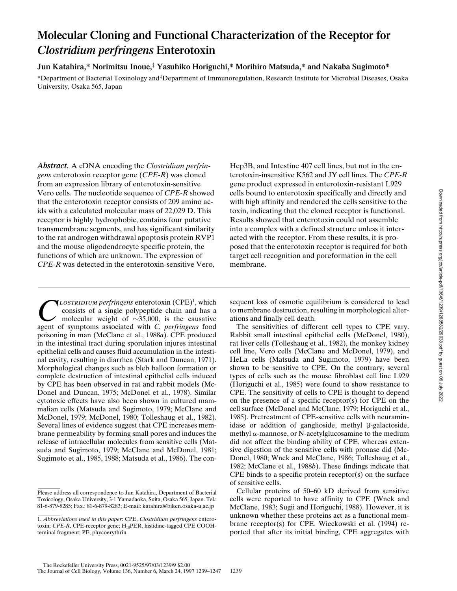# **Molecular Cloning and Functional Characterization of the Receptor for** *Clostridium perfringens* **Enterotoxin**

**Jun Katahira,\* Norimitsu Inoue,‡ Yasuhiko Horiguchi,\* Morihiro Matsuda,\* and Nakaba Sugimoto\***

\*Department of Bacterial Toxinology and ‡Department of Immunoregulation, Research Institute for Microbial Diseases, Osaka University, Osaka 565, Japan

*Abstract.* A cDNA encoding the *Clostridium perfringens* enterotoxin receptor gene (*CPE-R*) was cloned from an expression library of enterotoxin-sensitive Vero cells. The nucleotide sequence of *CPE-R* showed that the enterotoxin receptor consists of 209 amino acids with a calculated molecular mass of 22,029 D. This receptor is highly hydrophobic, contains four putative transmembrane segments, and has significant similarity to the rat androgen withdrawal apoptosis protein RVP1 and the mouse oligodendrocyte specific protein, the functions of which are unknown. The expression of *CPE-R* was detected in the enterotoxin-sensitive Vero, Hep3B, and Intestine 407 cell lines, but not in the enterotoxin-insensitive K562 and JY cell lines. The *CPE-R* gene product expressed in enterotoxin-resistant L929 cells bound to enterotoxin specifically and directly and with high affinity and rendered the cells sensitive to the toxin, indicating that the cloned receptor is functional. Results showed that enterotoxin could not assemble into a complex with a defined structure unless it interacted with the receptor. From these results, it is proposed that the enterotoxin receptor is required for both target cell recognition and poreformation in the cell membrane.

**COLOSTRIDIUM** perfringens enterotoxin (CPE)<sup>1</sup>, which consists of a single polypeptide chain and has a molecular weight of  $\sim$ 35,000, is the causative agent of symptoms associated with *C* perfringens food consists of a single polypeptide chain and has a molecular weight of  $\sim$ 35,000, is the causative agent of symptoms associated with *C. perfringens* food poisoning in man (McClane et al., 1988*a*). CPE produced in the intestinal tract during sporulation injures intestinal epithelial cells and causes fluid accumulation in the intestinal cavity, resulting in diarrhea (Stark and Duncan, 1971). Morphological changes such as bleb balloon formation or complete destruction of intestinal epithelial cells induced by CPE has been observed in rat and rabbit models (Mc-Donel and Duncan, 1975; McDonel et al., 1978). Similar cytotoxic effects have also been shown in cultured mammalian cells (Matsuda and Sugimoto, 1979; McClane and McDonel, 1979; McDonel, 1980; Tolleshaug et al., 1982). Several lines of evidence suggest that CPE increases membrane permeability by forming small pores and induces the release of intracellular molecules from sensitive cells (Matsuda and Sugimoto, 1979; McClane and McDonel, 1981; Sugimoto et al., 1985, 1988; Matsuda et al., 1986). The con-

sequent loss of osmotic equilibrium is considered to lead to membrane destruction, resulting in morphological alterations and finally cell death.

The sensitivities of different cell types to CPE vary. Rabbit small intestinal epithelial cells (McDonel, 1980), rat liver cells (Tolleshaug et al., 1982), the monkey kidney cell line, Vero cells (McClane and McDonel, 1979), and HeLa cells (Matsuda and Sugimoto, 1979) have been shown to be sensitive to CPE. On the contrary, several types of cells such as the mouse fibroblast cell line L929 (Horiguchi et al., 1985) were found to show resistance to CPE. The sensitivity of cells to CPE is thought to depend on the presence of a specific receptor(s) for CPE on the cell surface (McDonel and McClane, 1979; Horiguchi et al., 1985). Pretreatment of CPE-sensitive cells with neuraminidase or addition of ganglioside, methyl  $\beta$ -galactoside, methyl  $\alpha$ -mannose, or N-acetylglucosamine to the medium did not affect the binding ability of CPE, whereas extensive digestion of the sensitive cells with pronase did (Mc-Donel, 1980; Wnek and McClane, 1986; Tolleshaug et al., 1982; McClane et al., 1988*b*). These findings indicate that CPE binds to a specific protein receptor(s) on the surface of sensitive cells.

Cellular proteins of 50–60 kD derived from sensitive cells were reported to have affinity to CPE (Wnek and McClane, 1983; Sugii and Horiguchi, 1988). However, it is unknown whether these proteins act as a functional membrane receptor(s) for CPE. Wieckowski et al. (1994) reported that after its initial binding, CPE aggregates with

Please address all correspondence to Jun Katahira, Department of Bacterial Toxicology, Osaka University, 3-1 Yamadaoka, Suita, Osaka 565, Japan. Tel.: 81-6-879-8285; Fax.: 81-6-879-8283; E-mail: katahira@biken.osaka-u.ac.jp

<sup>1.</sup> *Abbreviations used in this paper*: CPE, *Clostridium perfringens* enterotoxin; *CPE-R*, CPE-receptor gene; H<sub>10</sub>PER, histidine-tagged CPE COOHteminal fragment; PE, phycoerythrin.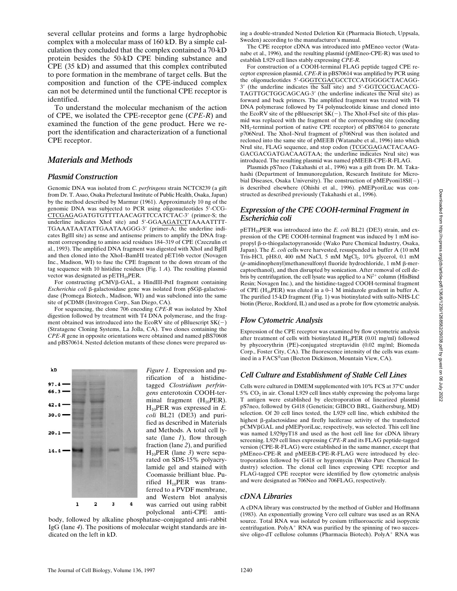several cellular proteins and forms a large hydrophobic complex with a molecular mass of 160 kD. By a simple calculation they concluded that the complex contained a 70-kD protein besides the 50-kD CPE binding substance and CPE (35 kD) and assumed that this complex contributed to pore formation in the membrane of target cells. But the composition and function of the CPE-induced complex can not be determined until the functional CPE receptor is identified.

To understand the molecular mechanism of the action of CPE, we isolated the CPE-receptor gene (*CPE-R*) and examined the function of the gene product. Here we report the identification and characterization of a functional CPE receptor.

# *Materials and Methods*

#### *Plasmid Construction*

Genomic DNA was isolated from *C. perfringens* strain NCTC8239 (a gift from Dr. T. Asao, Osaka Prefectural Institute of Public Health, Osaka, Japan) by the method described by Marmur (1961). Approximately 10 ng of the genomic DNA was subjected to PCR using oligonucleotides 5'-CCG-CTCGAGAGATGTGTTTTAACAGTTCCATCTAC-3' (primer-S; the underline indicates XhoI site) and 5'-GGAAGATCTTAAAATTTT-TGAAATAATATTGAATAAGGG-3' (primer-A; the underline indicates BglII site) as sense and antisense primers to amplify the DNA fragment corresponding to amino acid residues 184–319 of CPE (Czeczulin et al., 1993). The amplified DNA fragment was digested with XhoI and BglII and then cloned into the XhoI–BamHI treated pET16b vector (Novagen Inc., Madison, WI) to fuse the CPE fragment to the down stream of the tag sequence with 10 histidine residues (Fig. 1 *A*). The resulting plasmid vector was designated as  $pETH_{10}PER$ .

For constructing pCMVb-GAL, a HindIII-PstI fragment containing *Escherichia coli* β-galactosidase gene was isolated from pSGβ-galactosidase (Promega Biotech., Madison, WI) and was subcloned into the same site of pCDM8 (Invitrogen Corp., San Diego, CA).

For sequencing, the clone 706 encoding *CPE-R* was isolated by XhoI digestion followed by treatment with T4 DNA polymerase, and the fragment obtained was introduced into the EcoRV site of pBluescript  $SK(-)$ (Stratagene Cloning Systems, La Jolla, CA). Two clones containing the *CPE-R* gene in opposite orientations were obtained and named pBS70608 and pBS70614. Nested deletion mutants of these clones were prepared us-



*Figure 1.* Expression and purification of a histidinetagged *Clostridium perfringens* enterotoxin COOH-terminal fragment  $(H_{10}PER)$ . H10PER was expressed in *E. coli* BL21 (DE3) and purified as described in Materials and Methods. A total cell lysate (lane *1*), flow through fraction (lane *2*), and purified H10PER (lane *3*) were separated on SDS-15% polyacrylamide gel and stained with Coomassie brilliant blue. Purified  $H_{10}$ PER was transferred to a PVDF membrane, and Western blot analysis was carried out using rabbit polyclonal anti-CPE anti-

body, followed by alkaline phosphatase–conjugated anti–rabbit IgG (lane *4*). The positions of molecular weight standards are indicated on the left in kD.

ing a double-stranded Nested Deletion Kit (Pharmacia Biotech, Uppsala, Sweden) according to the manufacturer's manual.

The CPE receptor cDNA was introduced into pMEneo vector (Watanabe et al., 1996), and the resulting plasmid (pMEneo-CPE-R) was used to establish L929 cell lines stably expressing *CPE-R.*

For construction of a COOH-terminal FLAG peptide tagged CPE receptor expression plasmid, *CPE-R* in pBS70614 was amplified by PCR using the oligonucleotides 5'-GGGTCGACGCCTCCATGGGGCTACAGG-3' (the underline indicates the SalI site) and 5'-GGTCGCGACACG-TAGTTGCTGGCAGCAG-3' (the underline indicates the NruI site) as forward and back primers. The amplified fragment was treated with T4 DNA polymerase followed by T4 polynucleotide kinase and cloned into the EcoRV site of the pBluescript  $SK(-)$ . The XhoI-FseI site of this plasmid was replaced with the fragment of the corresponding site (encoding NH2-terminal portion of native CPE receptor) of pBS70614 to generate p706NruI. The XhoI–NruI fragment of p706NruI was then isolated and recloned into the same site of pMEEB (Watanabe et al., 1996) into which NruI site, FLAG sequence, and stop codon (TCGCGAGACTACAAG-GACGACGATGACAAGTAA; the underline indicates NruI site) was introduced. The resulting plasmid was named pMEEB-CPE-R-FLAG.

Plasmids pS7neo (Takahashi et al., 1996) was a gift from Dr. M. Takahashi (Department of Immunoregulation, Research Institute for Microbial Diseases, Osaka University). The construction of pMEPyoni18Sf(-) is described elsewhere (Ohishi et al., 1996). pMEPyoriLuc was constructed as described previously (Takahashi et al., 1996).

## *Expression of the CPE COOH-terminal Fragment in Escherichia coli*

pETH<sub>10</sub>PER was introduced into the *E. coli* BL21 (DE3) strain, and expression of the CPE COOH-terminal fragment was induced by 1 mM isopropyl  $\beta$ -D-thiogalactopyranoside (Wako Pure Chemical Industry, Osaka, Japan). The *E. coli* cells were harvested, resuspended in buffer A (10 mM Tris-HCl, pH8.0, 400 mM NaCl, 5 mM  $MgCl<sub>2</sub>$ , 10% glycerol, 0.1 mM (*p*-amidinophenyl)methanesulfonyl fluoride hydrochloride, 1 mM β-mercaptoethanol), and then disrupted by sonication. After removal of cell debris by centrifugation, the cell lysate was applied to a  $Ni<sup>2+</sup>$  column (HisBind Resin; Novagen Inc.), and the histidine-tagged COOH-terminal fragment of CPE (H10PER) was eluted in a 0–1 M imidazole gradient in buffer A. The purified 15-kD fragment (Fig. 1) was biotinylated with sulfo-NHS-LC biotin (Pierce, Rockford, IL) and used as a probe for flow cytometric analysis.

## *Flow Cytometric Analysis*

Expression of the CPE receptor was examined by flow cytometric analysis after treatment of cells with biotinylated  $H_{10}PER$  (0.01 mg/ml) followed by phycoerythrin (PE)-conjugated streptavidin (0.02 mg/ml; Biomeda Corp., Foster City, CA). The fluorescence intensity of the cells was examined in a FACS®can (Becton Dickinson, Mountain View, CA).

# *Cell Culture and Establishment of Stable Cell Lines*

Cells were cultured in DMEM supplemented with 10% FCS at 37°C under  $5\%$  CO<sub>2</sub> in air. Clonal L929 cell lines stably expressing the polyoma large T antigen were established by electroporation of linearized plasmid pS7neo, followed by G418 (Geneticin; GIBCO BRL, Gaithersburg, MD) selection. Of 20 cell lines tested, the L929 cell line, which exhibited the highest  $\beta$ -galactosidase and firefly luciferase activity of the transfected pCMVßGAL and pMEPyoriLuc, respectively, was selected. This cell line was named L929pyT18 and used as the host cell line for cDNA library screening. L929 cell lines expressing *CPE-R* and its FLAG peptide-tagged version (CPE-R-FLAG) were established in the same manner, except that pMEneo-CPE-R and pMEEB-CPE-R-FLAG were introduced by electroporation followed by G418 or hygromycin (Wako Pure Chemical Industry) selection. The clonal cell lines expressing CPE receptor and FLAG-tagged CPE receptor were identified by flow cytometric analysis and were designated as 706Neo and 706FLAG, respectively.

# *cDNA Libraries*

A cDNA library was constructed by the method of Gubler and Hoffmann (1983). An exponentially growing Vero cell culture was used as an RNA source. Total RNA was isolated by cesium trifluoroacetic acid isopycnic centrifugation. Poly $A^+$  RNA was purified by the spinning of two successive oligo-dT cellulose columns (Pharmacia Biotech). Poly $A^+$  RNA was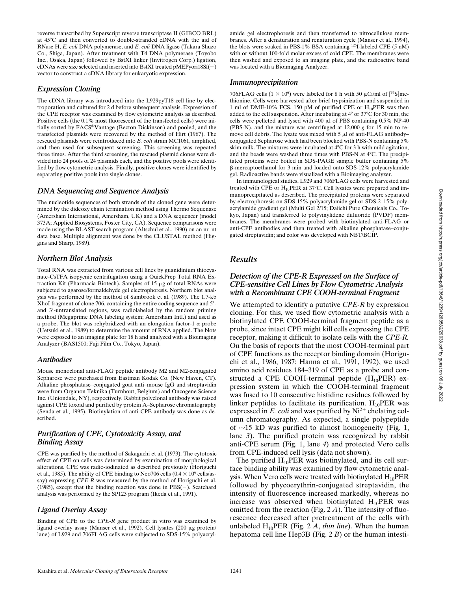reverse transcribed by Superscript reverse transcriptase II (GIBCO BRL) at  $45^{\circ}$ C and then converted to double-stranded cDNA with the aid of RNase H, *E. coli* DNA polymerase, and *E. coli* DNA ligase (Takara Shuzo Co., Shiga, Japan). After treatment with T4 DNA polymerase (Toyobo Inc., Osaka, Japan) followed by BstXI linker (Invitrogen Corp.) ligation, cDNAs were size selected and inserted into BstXI treated  $p$ MEPyori18Sf( $-$ ) vector to construct a cDNA library for eukaryotic expression.

## *Expression Cloning*

The cDNA library was introduced into the L929pyT18 cell line by electroporation and cultured for 2 d before subsequent analysis. Expression of the CPE receptor was examined by flow cytometric analysis as described. Positive cells (the 0.1% most fluorescent of the transfected cells) were initially sorted by FACS®Vantage (Becton Dickinson) and pooled, and the transfected plasmids were recovered by the method of Hirt (1967). The rescued plasmids were reintroduced into *E. coli* strain MC1061, amplified, and then used for subsequent screening. This screening was repeated three times. After the third screening, the rescued plasmid clones were divided into 24 pools of 24 plasmids each, and the positive pools were identified by flow cytometric analysis. Finally, positive clones were identified by separating positive pools into single clones.

## *DNA Sequencing and Sequence Analysis*

The nucleotide sequences of both strands of the cloned gene were determined by the dideoxy chain termination method using Thermo Sequenase (Amersham International, Amersham, UK) and a DNA sequencer (model 373A; Applied Biosystems, Foster City, CA). Sequence comparisons were made using the BLAST search program (Altschul et al., 1990) on an nr–nt data base. Multiple alignment was done by the CLUSTAL method (Higgins and Sharp, 1989).

# *Northern Blot Analysis*

Total RNA was extracted from various cell lines by guanidinium thiocyanate-CsTFA isopycnic centrifugation using a QuickPrep Total RNA Extraction Kit (Pharmacia Biotech). Samples of  $15 \mu g$  of total RNAs were subjected to agarose/formaldehyde gel electrophoresis. Northern blot analysis was performed by the method of Sambrook et al. (1989). The 1.7-kb XhoI fragment of clone 706, containing the entire coding sequence and 5'and 3'-untranslated regions, was radiolabeled by the random priming method (Megaprime DNA labeling system; Amersham Intl.) and used as a probe. The blot was rehybridized with an elongation factor-1  $\alpha$  probe (Uetsuki et al., 1989) to determine the amount of RNA applied. The blots were exposed to an imaging plate for 18 h and analyzed with a Bioimaging Analyzer (BAS1500; Fuji Film Co., Tokyo, Japan).

## *Antibodies*

Mouse monoclonal anti-FLAG peptide antibody M2 and M2-conjugated Sepharose were purchased from Eastman Kodak Co. (New Haven, CT). Alkaline phosphatase–conjugated goat anti–mouse IgG and streptavidin were from Organon Teknika (Turnhout, Belgium) and Oncogene Science Inc. (Uniondale, NY), respectively. Rabbit polyclonal antibody was raised against CPE toxoid and purified by protein A–Sepharose chromatography (Senda et al., 1995). Biotinylation of anti-CPE antibody was done as described.

# *Purification of CPE, Cytotoxicity Assay, and Binding Assay*

CPE was purified by the method of Sakaguchi et al. (1973). The cytotoxic effect of CPE on cells was determined by examination of morphological alterations. CPE was radio-iodinated as described previously (Horiguchi et al., 1985). The ability of CPE binding to Neo706 cells  $(0.4 \times 10^6 \text{ cells/as-}$ say) expressing *CPE-R* was measured by the method of Horiguchi et al. (1985), except that the binding reaction was done in  $PBS(-)$ . Scatchard analysis was performed by the SP123 program (Ikeda et al., 1991).

## *Ligand Overlay Assay*

Binding of CPE to the *CPE-R* gene product in vitro was examined by ligand overlay assay (Manser et al., 1992). Cell lysates (200 µg protein/ lane) of L929 and 706FLAG cells were subjected to SDS-15% polyacryl-

amide gel electrophoresis and then transferred to nitrocellulose membranes. After a denaturation and renaturation cycle (Manser et al., 1994), the blots were soaked in PBS-1% BSA containing <sup>125</sup>I-labeled CPE (5 nM) with or without 100-fold molar excess of cold CPE. The membranes were then washed and exposed to an imaging plate, and the radioactive band was located with a Bioimaging Analyzer.

#### *Immunoprecipitation*

706FLAG cells  $(1 \times 10^6)$  were labeled for 8 h with 50  $\mu$ Ci/ml of [<sup>35</sup>S]methionine. Cells were harvested after brief trypsinization and suspended in 1 ml of DME-10% FCS. 150 pM of purified CPE or  $H_{10}$ PER was then added to the cell suspension. After incubating at  $4^{\circ}$  or  $37^{\circ}$ C for 30 min, the cells were pelleted and lysed with  $400 \mu$ l of PBS containing 0.5% NP-40 (PBS-N), and the mixture was centrifuged at 12,000 *g* for 15 min to remove cell debris. The lysate was mixed with  $5 \mu$ l of anti-FLAG antibody– conjugated Sepharose which had been blocked with PBS-N containing 5% skim milk. The mixtures were incubated at  $4^{\circ}$ C for 3 h with mild agitation, and the beads were washed three times with PBS-N at  $4^{\circ}$ C. The precipitated proteins were boiled in SDS-PAGE sample buffer containing 5% b-mercaptoethanol for 3 min and loaded onto SDS-12% polyacrylamide gel. Radioactive bands were visualized with a Bioimaging analyzer.

In immunological studies, L929 and 706FLAG cells were harvested and treated with CPE or  $H_{10}$ PER at 37°C. Cell lysates were prepared and immunoprecipitated as described. The precipitated proteins were separated by electrophoresis on SDS-15% polyacrylamide gel or SDS-2–15% polyacrylamide gradient gel (Multi Gel 2/15; Daiichi Pure Chemicals Co., Tokyo, Japan) and transferred to polyvinylidene difluoride (PVDF) membranes. The membranes were probed with biotinylated anti-FLAG or anti-CPE antibodies and then treated with alkaline phosphatase–conjugated streptavidin; and color was developed with NBT/BCIP.

# *Results*

## *Detection of the CPE-R Expressed on the Surface of CPE-sensitive Cell Lines by Flow Cytometric Analysis with a Recombinant CPE COOH-terminal Fragment*

We attempted to identify a putative *CPE-R* by expression cloning. For this, we used flow cytometric analysis with a biotinylated CPE COOH-terminal fragment peptide as a probe, since intact CPE might kill cells expressing the CPE receptor, making it difficult to isolate cells with the *CPE-R.* On the basis of reports that the most COOH-terminal part of CPE functions as the receptor binding domain (Horiguchi et al., 1986, 1987; Hanna et al., 1991, 1992), we used amino acid residues 184–319 of CPE as a probe and constructed a CPE COOH-terminal peptide  $(H_{10}PER)$  expression system in which the COOH-terminal fragment was fused to 10 consecutive histidine residues followed by linker peptides to facilitate its purification.  $H_{10}PER$  was expressed in *E. coli* and was purified by  $Ni<sup>2+</sup>$  chelating column chromatography. As expected, a single polypeptide of  $\sim$ 15 kD was purified to almost homogeneity (Fig. 1, lane *3*). The purified protein was recognized by rabbit anti-CPE serum (Fig. 1, lane *4*) and protected Vero cells from CPE-induced cell lysis (data not shown).

The purified  $H_{10}$ PER was biotinylated, and its cell surface binding ability was examined by flow cytometric analysis. When Vero cells were treated with biotinylated  $H_{10}PER$ followed by phycoerythrin-conjugated streptavidin, the intensity of fluorescence increased markedly, whereas no increase was observed when biotinylated  $H_{10}PER$  was omitted from the reaction (Fig. 2 *A*). The intensity of fluorescence decreased after pretreatment of the cells with unlabeled  $H_{10}$ PER (Fig. 2 *A*, *thin line*). When the human hepatoma cell line Hep3B (Fig. 2 *B*) or the human intesti-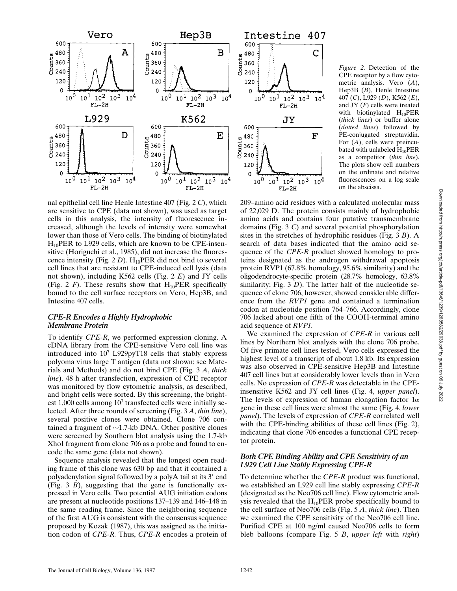

*Figure 2.* Detection of the CPE receptor by a flow cytometric analysis. Vero (*A*), Hep3B (*B*), Henle Intestine 407 (*C*), L929 (*D*), K562 (*E*), and JY (*F*) cells were treated with biotinylated  $H_{10}$ PER (*thick lines*) or buffer alone (*dotted lines*) followed by PE-conjugated streptavidin. For (*A*), cells were preincubated with unlabeled  $H_{10}PER$ as a competitor (*thin line*). The plots show cell numbers on the ordinate and relative fluorescences on a log scale on the abscissa.

nal epithelial cell line Henle Intestine 407 (Fig. 2 *C*), which are sensitive to CPE (data not shown), was used as target cells in this analysis, the intensity of fluorescence increased, although the levels of intensity were somewhat lower than those of Vero cells. The binding of biotinylated  $H_{10}$ PER to L929 cells, which are known to be CPE-insensitive (Horiguchi et al., 1985), did not increase the fluorescence intensity (Fig. 2  $D$ ). H<sub>10</sub>PER did not bind to several cell lines that are resistant to CPE-induced cell lysis (data not shown), including K562 cells (Fig. 2 *E*) and JY cells (Fig. 2  $\dot{F}$ ). These results show that  $H_{10}$ PER specifically bound to the cell surface receptors on Vero, Hep3B, and Intestine 407 cells.

## *CPE-R Encodes a Highly Hydrophobic Membrane Protein*

To identify *CPE-R*, we performed expression cloning. A cDNA library from the CPE-sensitive Vero cell line was introduced into 107 L929pyT18 cells that stably express polyoma virus large T antigen (data not shown; see Materials and Methods) and do not bind CPE (Fig. 3 *A*, *thick line*). 48 h after transfection, expression of CPE receptor was monitored by flow cytometric analysis, as described, and bright cells were sorted. By this screening, the brightest  $1,000$  cells among  $10<sup>7</sup>$  transfected cells were initially selected. After three rounds of screening (Fig. 3 *A*, *thin line*), several positive clones were obtained. Clone 706 contained a fragment of  $\sim$ 1.7-kb DNA. Other positive clones were screened by Southern blot analysis using the 1.7-kb XhoI fragment from clone 706 as a probe and found to encode the same gene (data not shown).

Sequence analysis revealed that the longest open reading frame of this clone was 630 bp and that it contained a polyadenylation signal followed by a polyA tail at its 3' end (Fig. 3 *B*), suggesting that the gene is functionally expressed in Vero cells. Two potential AUG initiation codons are present at nucleotide positions 137–139 and 146–148 in the same reading frame. Since the neighboring sequence of the first AUG is consistent with the consensus sequence proposed by Kozak (1987), this was assigned as the initiation codon of *CPE-R.* Thus, *CPE-R* encodes a protein of

209–amino acid residues with a calculated molecular mass of 22,029 D. The protein consists mainly of hydrophobic amino acids and contains four putative transmembrane domains (Fig. 3 *C*) and several potential phosphorylation sites in the stretches of hydrophilic residues (Fig. 3 *B*). A search of data bases indicated that the amino acid sequence of the *CPE-R* product showed homology to proteins designated as the androgen withdrawal apoptosis protein RVP1 (67.8% homology, 95.6% similarity) and the oligodendrocyte-specific protein (28.7% homology, 63.8% similarity; Fig. 3 *D*). The latter half of the nucleotide sequence of clone 706, however, showed considerable difference from the *RVP1* gene and contained a termination codon at nucleotide position 764–766. Accordingly, clone 706 lacked about one fifth of the COOH-terminal amino acid sequence of *RVP1.*

Ć

 $10<sup>4</sup>$ 

F

 $10<sup>4</sup>$ 

We examined the expression of *CPE-R* in various cell lines by Northern blot analysis with the clone 706 probe. Of five primate cell lines tested, Vero cells expressed the highest level of a transcript of about 1.8 kb. Its expression was also observed in CPE-sensitive Hep3B and Intestine 407 cell lines but at considerably lower levels than in Vero cells. No expression of *CPE-R* was detectable in the CPEinsensitive K562 and JY cell lines (Fig. 4, *upper panel*). The levels of expression of human elongation factor  $1\alpha$ gene in these cell lines were almost the same (Fig. 4, *lower panel*). The levels of expression of *CPE-R* correlated well with the CPE-binding abilities of these cell lines (Fig. 2), indicating that clone 706 encodes a functional CPE receptor protein.

# *Both CPE Binding Ability and CPE Sensitivity of an L929 Cell Line Stably Expressing CPE-R*

To determine whether the *CPE-R* product was functional, we established an L929 cell line stably expressing *CPE-R* (designated as the Neo706 cell line). Flow cytometric analysis revealed that the  $H_{10}$ PER probe specifically bound to the cell surface of Neo706 cells (Fig. 5 *A*, *thick line*). Then we examined the CPE sensitivity of the Neo706 cell line. Purified CPE at 100 ng/ml caused Neo706 cells to form bleb balloons (compare Fig. 5 *B*, *upper left* with *right*)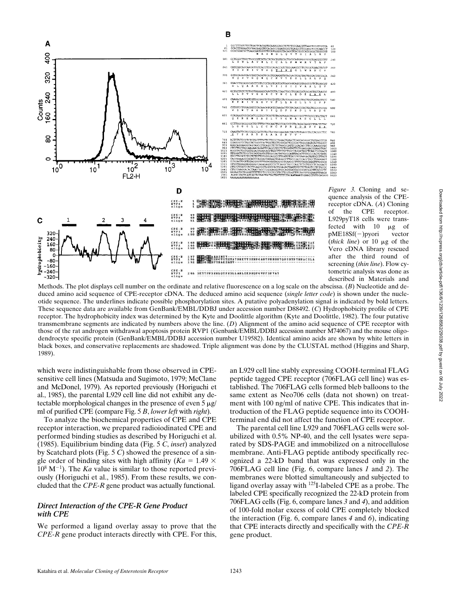

*Figure 3.* Cloning and sequence analysis of the CPEreceptor cDNA. (*A*) Cloning of the CPE receptor. L929pyT18 cells were transfected with 10 mg of pME18Sf(2)pyori vector (*thick line*) or 10 mg of the Vero cDNA library rescued after the third round of screening (*thin line*). Flow cytometric analysis was done as described in Materials and

Methods. The plot displays cell number on the ordinate and relative fluorescence on a log scale on the abscissa. (*B*) Nucleotide and deduced amino acid sequence of CPE-receptor cDNA. The deduced amino acid sequence (*single letter code*) is shown under the nucleotide sequence. The underlines indicate possible phosphorylation sites. A putative polyadenylation signal is indicated by bold letters. These sequence data are available from GenBank/EMBL/DDBJ under accession number D88492. (*C*) Hydrophobicity profile of CPE receptor. The hydrophobicity index was determined by the Kyte and Doolittle algorithm (Kyte and Doolittle, 1982). The four putative transmembrane segments are indicated by numbers above the line. (*D*) Alignment of the amino acid sequence of CPE receptor with those of the rat androgen withdrawal apoptosis protein RVP1 (Genbank/EMBL/DDBJ accession number M74067) and the mouse oligodendrocyte specific protein (GenBank/EMBL/DDBJ accession number U19582). Identical amino acids are shown by white letters in black boxes, and conservative replacements are shadowed. Triple alignment was done by the CLUSTAL method (Higgins and Sharp, 1989).

B

which were indistinguishable from those observed in CPEsensitive cell lines (Matsuda and Sugimoto, 1979; McClane and McDonel, 1979). As reported previously (Horiguchi et al., 1985), the parental L929 cell line did not exhibit any detectable morphological changes in the presence of even  $5 \mu g$ ml of purified CPE (compare Fig. 5 *B*, *lower left* with *right*).

To analyze the biochemical properties of CPE and CPE receptor interaction, we prepared radioiodinated CPE and performed binding studies as described by Horiguchi et al. (1985). Equilibrium binding data (Fig. 5 *C*, *inset*) analyzed by Scatchard plots (Fig. 5 *C*) showed the presence of a single order of binding sites with high affinity ( $Ka = 1.49 \times$  $10^8$  M<sup>-1</sup>). The *Ka* value is similar to those reported previously (Horiguchi et al., 1985). From these results, we concluded that the *CPE-R* gene product was actually functional.

# *Direct Interaction of the CPE-R Gene Product with CPE*

We performed a ligand overlay assay to prove that the *CPE-R* gene product interacts directly with CPE. For this, an L929 cell line stably expressing COOH-terminal FLAG peptide tagged CPE receptor (706FLAG cell line) was established. The 706FLAG cells formed bleb balloons to the same extent as Neo706 cells (data not shown) on treatment with 100 ng/ml of native CPE. This indicates that introduction of the FLAG peptide sequence into its COOHterminal end did not affect the function of CPE receptor.

The parental cell line L929 and 706FLAG cells were solubilized with 0.5% NP-40, and the cell lysates were separated by SDS-PAGE and immobilized on a nitrocellulose membrane. Anti-FLAG peptide antibody specifically recognized a 22-kD band that was expressed only in the 706FLAG cell line (Fig. 6, compare lanes *1* and *2*). The membranes were blotted simultaneously and subjected to ligand overlay assay with 125I-labeled CPE as a probe. The labeled CPE specifically recognized the 22-kD protein from 706FLAG cells (Fig. 6, compare lanes *3* and *4*), and addition of 100-fold molar excess of cold CPE completely blocked the interaction (Fig. 6, compare lanes *4* and *6*), indicating that CPE interacts directly and specifically with the *CPE-R* gene product.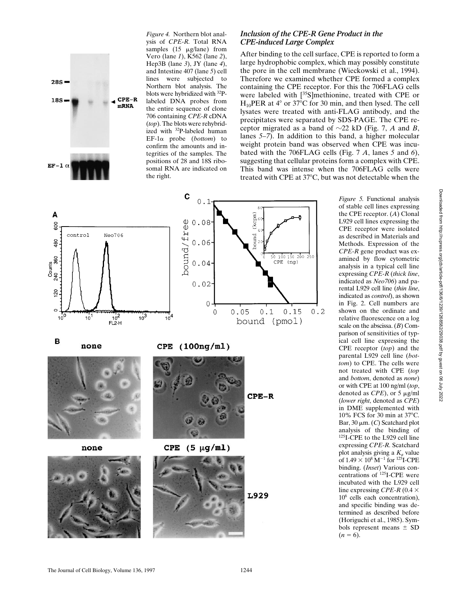

*Figure 4.* Northern blot analysis of *CPE-R.* Total RNA samples  $(15 \mu g / \text{lane})$  from Vero (lane *1*), K562 (lane *2*), Hep3B (lane *3*), JY (lane *4*), and Intestine 407 (lane *5*) cell lines were subjected to Northern blot analysis. The blots were hybridized with 32Plabeled DNA probes from the entire sequence of clone 706 containing *CPE-R* cDNA (*top*). The blots were rehybridized with 32P-labeled human EF-1a probe (*bottom*) to confirm the amounts and integrities of the samples. The positions of 28 and 18S ribosomal RNA are indicated on the right.

# *Inclusion of the CPE-R Gene Product in the CPE-induced Large Complex*

After binding to the cell surface, CPE is reported to form a large hydrophobic complex, which may possibly constitute the pore in the cell membrane (Wieckowski et al., 1994). Therefore we examined whether CPE formed a complex containing the CPE receptor. For this the 706FLAG cells were labeled with [<sup>35</sup>S]methionine, treated with CPE or  $H_{10}$ PER at 4° or 37°C for 30 min, and then lysed. The cell lysates were treated with anti-FLAG antibody, and the precipitates were separated by SDS-PAGE. The CPE receptor migrated as a band of  $\sim$ 22 kD (Fig. 7, *A* and *B*, lanes *5–7*). In addition to this band, a higher molecular weight protein band was observed when CPE was incubated with the 706FLAG cells (Fig. 7 *A*, lanes *5* and *6*), suggesting that cellular proteins form a complex with CPE. This band was intense when the 706FLAG cells were treated with CPE at  $37^{\circ}$ C, but was not detectable when the



*Figure 5.* Functional analysis of stable cell lines expressing the CPE receptor. (*A*) Clonal L929 cell lines expressing the CPE receptor were isolated as described in Materials and Methods. Expression of the *CPE-R* gene product was examined by flow cytometric analysis in a typical cell line expressing *CPE-R* (*thick line*, indicated as *Neo706*) and parental L929 cell line (*thin line*, indicated as *control*), as shown in Fig. 2. Cell numbers are shown on the ordinate and relative fluorescence on a log scale on the abscissa. (*B*) Comparison of sensitivities of typical cell line expressing the CPE receptor (*top*) and the parental L929 cell line (*bottom*) to CPE. The cells were not treated with CPE (*top* and *bottom*, denoted as *none*) or with CPE at 100 ng/ml (*top*, denoted as *CPE*), or 5  $\mu$ g/ml (*lower right*, denoted as *CPE*) in DME supplemented with 10% FCS for 30 min at 37 $\rm ^{o}C$ . Bar,  $30 \mu m$ . (*C*) Scatchard plot analysis of the binding of 125I-CPE to the L929 cell line expressing *CPE-R.* Scatchard plot analysis giving a  $K_a$  value of  $1.49 \times 10^8$  M<sup>-1</sup> for <sup>125</sup>I-CPE binding. (*Inset*) Various concentrations of 125I-CPE were incubated with the L929 cell line expressing *CPE-R* (0.4  $\times$ 106 cells each concentration), and specific binding was determined as described before (Horiguchi et al., 1985). Symbols represent means  $\pm$  SD  $(n = 6)$ .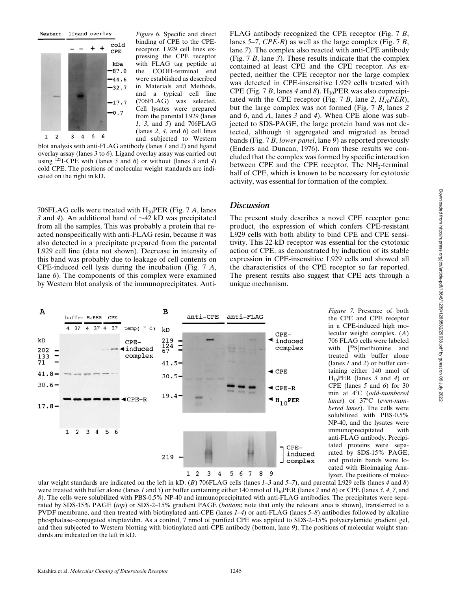

*Figure 6.* Specific and direct binding of CPE to the CPEreceptor. L929 cell lines expressing the CPE receptor with FLAG tag peptide at the COOH-terminal end were established as described in Materials and Methods, and a typical cell line (706FLAG) was selected. Cell lysates were prepared from the parental L929 (lanes *1*, *3*, and *5*) and 706FLAG (lanes *2*, *4*, and *6*) cell lines and subjected to Western

blot analysis with anti-FLAG antibody (lanes *1* and *2*) and ligand overlay assay (lanes *3* to *6*). Ligand overlay assay was carried out using 125I-CPE with (lanes *5* and *6*) or without (lanes *3* and *4*) cold CPE. The positions of molecular weight standards are indicated on the right in kD.

706FLAG cells were treated with  $H_{10}$ PER (Fig. 7 *A*, lanes *3* and *4*). An additional band of  $\sim$  42 kD was precipitated from all the samples. This was probably a protein that reacted nonspecifically with anti-FLAG resin, because it was also detected in a precipitate prepared from the parental L929 cell line (data not shown). Decrease in intensity of this band was probably due to leakage of cell contents on CPE-induced cell lysis during the incubation (Fig. 7 *A*, lane *6*). The components of this complex were examined by Western blot analysis of the immunoprecipitates. Anti-

FLAG antibody recognized the CPE receptor (Fig. 7 *B*, lanes *5–7*, *CPE-R*) as well as the large complex (Fig. 7 *B*, lane *7*). The complex also reacted with anti-CPE antibody (Fig. 7 *B*, lane *3*). These results indicate that the complex contained at least CPE and the CPE receptor. As expected, neither the CPE receptor nor the large complex was detected in CPE-insensitive L929 cells treated with CPE (Fig. 7 *B*, lanes 4 and 8).  $H_{10}$ PER was also coprecipitated with the CPE receptor (Fig. 7 *B*, lane 2,  $H_{10}PER$ ), but the large complex was not formed (Fig. 7 *B*, lanes *2* and *6*, and *A*, lanes *3* and *4*). When CPE alone was subjected to SDS-PAGE, the large protein band was not detected, although it aggregated and migrated as broad bands (Fig. 7 *B*, *lower panel*, lane *9*) as reported previously (Enders and Duncan, 1976). From these results we concluded that the complex was formed by specific interaction between CPE and the CPE receptor. The NH<sub>2</sub>-terminal half of CPE, which is known to be necessary for cytotoxic activity, was essential for formation of the complex.

# *Discussion*

The present study describes a novel CPE receptor gene product, the expression of which confers CPE-resistant L929 cells with both ability to bind CPE and CPE sensitivity. This 22-kD receptor was essential for the cytotoxic action of CPE, as demonstrated by induction of its stable expression in CPE-insensitive L929 cells and showed all the characteristics of the CPE receptor so far reported. The present results also suggest that CPE acts through a unique mechanism.



*Figure 7.* Presence of both the CPE and CPE receptor in a CPE-induced high molecular weight complex. (*A*) 706 FLAG cells were labeled with [<sup>35</sup>S]methionine and treated with buffer alone (lanes *1* and *2*) or buffer containing either 140 nmol of H10PER (lanes *3* and *4*) or CPE (lanes *5* and *6*) for 30 min at 48C (*odd-numbered* lanes) or 37°C (even-num*bered lanes*). The cells were solubilized with PBS-0.5% NP-40, and the lysates were immunoprecipitated with anti-FLAG antibody. Precipitated proteins were separated by SDS-15% PAGE, and protein bands were located with Bioimaging Analyzer. The positions of molec-

ular weight standards are indicated on the left in kD. (*B*) 706FLAG cells (lanes *1–3* and *5–7*), and parental L929 cells (lanes *4* and *8*) were treated with buffer alone (lanes *1* and *5*) or buffer containing either 140 nmol of  $H_{10}PER$  (lanes 2 and 6) or CPE (lanes 3, 4, 7, and *8*). The cells were solubilized with PBS-0.5% NP-40 and immunoprecipitated with anti-FLAG antibodies. The precipitates were separated by SDS-15% PAGE (*top*) or SDS-2–15% gradient PAGE (*bottom*; note that only the relevant area is shown), transferred to a PVDF membrane, and then treated with biotinylated anti-CPE (lanes *1–4*) or anti-FLAG (lanes *5–8*) antibodies followed by alkaline phosphatase–conjugated streptavidin. As a control, 7 nmol of purified CPE was applied to SDS-2–15% polyacrylamide gradient gel, and then subjected to Western blotting with biotinylated anti-CPE antibody (bottom, lane *9*). The positions of molecular weight standards are indicated on the left in kD.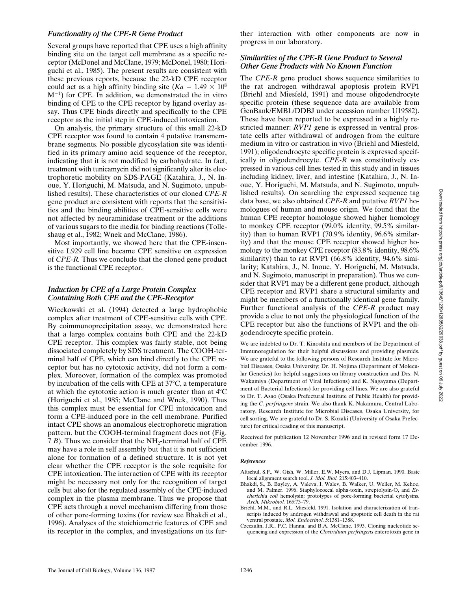Downloaded from http://rupress.org/jcb/article-pdf/136/6/1239/1268582/29038.pdf by guest on 06 July 2022 Downloaded from http://rupress.org/jcb/article-pdf/136/6/1239/1268582/29038.pdf by guest on 06 July 2022

# *Functionality of the CPE-R Gene Product*

Several groups have reported that CPE uses a high affinity binding site on the target cell membrane as a specific receptor (McDonel and McClane, 1979; McDonel, 1980; Horiguchi et al., 1985). The present results are consistent with these previous reports, because the 22-kD CPE receptor could act as a high affinity binding site ( $Ka = 1.49 \times 10^8$ )  $M^{-1}$ ) for CPE. In addition, we demonstrated the in vitro binding of CPE to the CPE receptor by ligand overlay assay. Thus CPE binds directly and specifically to the CPE receptor as the initial step in CPE-induced intoxication.

On analysis, the primary structure of this small 22-kD CPE receptor was found to contain 4 putative transmembrane segments. No possible glycosylation site was identified in its primary amino acid sequence of the receptor, indicating that it is not modified by carbohydrate. In fact, treatment with tunicamycin did not significantly alter its electrophoretic mobility on SDS-PAGE (Katahira, J., N. Inoue, Y. Horiguchi, M. Matsuda, and N. Sugimoto, unpublished results). These characteristics of our cloned *CPE-R* gene product are consistent with reports that the sensitivities and the binding abilities of CPE-sensitive cells were not affected by neuraminidase treatment or the additions of various sugars to the media for binding reactions (Tolleshaug et al., 1982; Wnek and McClane, 1986).

Most importantly, we showed here that the CPE-insensitive L929 cell line became CPE sensitive on expression of *CPE-R.* Thus we conclude that the cloned gene product is the functional CPE receptor.

# *Induction by CPE of a Large Protein Complex Containing Both CPE and the CPE-Receptor*

Wieckowski et al. (1994) detected a large hydrophobic complex after treatment of CPE-sensitive cells with CPE. By coimmunoprecipitation assay, we demonstrated here that a large complex contains both CPE and the 22-kD CPE receptor. This complex was fairly stable, not being dissociated completely by SDS treatment. The COOH-terminal half of CPE, which can bind directly to the CPE receptor but has no cytotoxic activity, did not form a complex. Moreover, formation of the complex was promoted by incubation of the cells with CPE at  $37^{\circ}$ C, a temperature at which the cytotoxic action is much greater than at  $4^{\circ}$ C (Horiguchi et al., 1985; McClane and Wnek, 1990). Thus this complex must be essential for CPE intoxication and form a CPE-induced pore in the cell membrane. Purified intact CPE shows an anomalous electrophoretic migration pattern, but the COOH-terminal fragment does not (Fig. 7  $B$ ). Thus we consider that the NH<sub>2</sub>-terminal half of CPE may have a role in self assembly but that it is not sufficient alone for formation of a defined structure. It is not yet clear whether the CPE receptor is the sole requisite for CPE intoxication. The interaction of CPE with its receptor might be necessary not only for the recognition of target cells but also for the regulated assembly of the CPE-induced complex in the plasma membrane. Thus we propose that CPE acts through a novel mechanism differing from those of other pore-forming toxins (for review see Bhakdi et al., 1996). Analyses of the stoichiometric features of CPE and its receptor in the complex, and investigations on its further interaction with other components are now in progress in our laboratory.

# *Similarities of the CPE-R Gene Product to Several Other Gene Products with No Known Function*

The *CPE-R* gene product shows sequence similarities to the rat androgen withdrawal apoptosis protein RVP1 (Briehl and Miesfeld, 1991) and mouse oligodendrocyte specific protein (these sequence data are available from GenBank/EMBL/DDBJ under accession number U19582). These have been reported to be expressed in a highly restricted manner: *RVP1* gene is expressed in ventral prostate cells after withdrawal of androgen from the culture medium in vitro or castration in vivo (Briehl and Miesfeld, 1991); oligodendrocyte specific protein is expressed specifically in oligodendrocyte. *CPE-R* was constitutively expressed in various cell lines tested in this study and in tissues including kidney, liver, and intestine (Katahira, J., N. Inoue, Y. Horiguchi, M. Matsuda, and N. Sugimoto, unpublished results). On searching the expressed sequence tag data base, we also obtained *CPE-R* and putative *RVP1* homologues of human and mouse origin. We found that the human CPE receptor homologue showed higher homology to monkey CPE receptor (99.0% identity, 99.5% similarity) than to human RVP1 (70.9% identity, 96.6% similarity) and that the mouse CPE receptor showed higher homology to the monkey CPE receptor (83.8% identity, 98.6% similarity) than to rat RVP1 (66.8% identity, 94.6% similarity; Katahira, J., N. Inoue, Y. Horiguchi, M. Matsuda, and N. Sugimoto, manuscript in preparation). Thus we consider that RVP1 may be a different gene product, although CPE receptor and RVP1 share a structural similarity and might be members of a functionally identical gene family. Further functional analysis of the *CPE-R* product may provide a clue to not only the physiological function of the CPE receptor but also the functions of RVP1 and the oligodendrocyte specific protein.

We are indebted to Dr. T. Kinoshita and members of the Department of Immunoregulation for their helpful discussions and providing plasmids. We are grateful to the following persons of Research Institute for Microbial Diseases, Osaka University; Dr. H. Nojima (Department of Molecular Genetics) for helpful suggestions on library construction and Drs. N. Wakamiya (Department of Viral Infections) and K. Nagayama (Department of Bacterial Infections) for providing cell lines. We are also grateful to Dr. T. Asao (Osaka Prefectural Institute of Public Health) for providing the *C. perfringens* strain. We also thank K. Nakamura, Central Laboratory, Research Institute for Microbial Diseases, Osaka University, for cell sorting. We are grateful to Dr. S. Kozaki (University of Osaka Prefecture) for critical reading of this manuscript.

Received for publication 12 November 1996 and in revised form 17 December 1996.

#### *References*

- Altschul, S.F., W. Gish, W. Miller, E.W. Myers, and D.J. Lipman. 1990. Basic local alignment search tool. *J. Mol. Biol.* 215:403–410.
- Bhakdi, S., B. Bayley, A. Valeva, I. Walev, B. Walker, U. Weller, M. Kehoe, and M. Palmer. 1996. Staphylococcal alpha-toxin, streptolysin-O, and *Escherichia coli* hemolysin: prototypes of pore-forming bacterial cytolysins. *Arch. Mikrobiol.* 165:73–79.
- Briehl, M.M., and R.L. Miesfeld. 1991. Isolation and characterization of transcripts induced by androgen withdrawal and apoptotic cell death in the rat ventral prostate. *Mol. Endocrinol.* 5:1381–1388.
- Czeczulin, J.R., P.C. Hanna, and B.A. McClane. 1993. Cloning nucleotide sequencing and expression of the *Clostridium perfringens* enterotoxin gene in